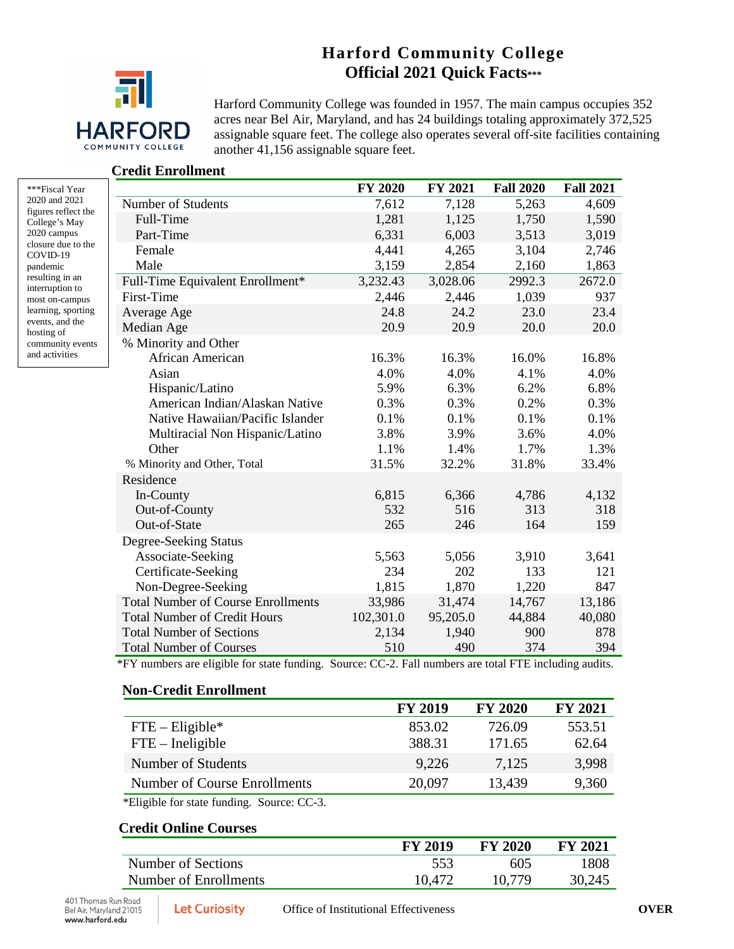# **Harford Community College Official 2021 Quick Facts\*\*\***



Harford Community College was founded in 1957. The main campus occupies 352 acres near Bel Air, Maryland, and has 24 buildings totaling approximately 372,525 assignable square feet. The college also operates several off-site facilities containing another 41,156 assignable square feet.

#### **Credit Enrollment**

| ***Fiscal Year      |
|---------------------|
| 2020 and 2021       |
| figures reflect the |
| College's May       |
| 2020 campus         |
| closure due to the  |
| COVID-19            |
| pandemic            |
| resulting in an     |
| interruption to     |
| most on-campus      |
| learning, sporting  |
| events, and the     |
| hosting of          |
| community events    |
| and activities      |

|                                           | <b>FY 2020</b> | FY 2021  | <b>Fall 2020</b> | <b>Fall 2021</b> |
|-------------------------------------------|----------------|----------|------------------|------------------|
| Number of Students                        | 7,612          | 7,128    | 5,263            | 4,609            |
| Full-Time                                 | 1,281          | 1,125    | 1,750            | 1,590            |
| Part-Time                                 | 6,331          | 6,003    | 3,513            | 3,019            |
| Female                                    | 4,441          | 4,265    | 3,104            | 2,746            |
| Male                                      | 3,159          | 2,854    | 2,160            | 1,863            |
| Full-Time Equivalent Enrollment*          | 3,232.43       | 3,028.06 | 2992.3           | 2672.0           |
| First-Time                                | 2,446          | 2,446    | 1,039            | 937              |
| Average Age                               | 24.8           | 24.2     | 23.0             | 23.4             |
| Median Age                                | 20.9           | 20.9     | 20.0             | 20.0             |
| % Minority and Other                      |                |          |                  |                  |
| African American                          | 16.3%          | 16.3%    | 16.0%            | 16.8%            |
| Asian                                     | 4.0%           | 4.0%     | 4.1%             | 4.0%             |
| Hispanic/Latino                           | 5.9%           | 6.3%     | 6.2%             | 6.8%             |
| American Indian/Alaskan Native            | 0.3%           | 0.3%     | 0.2%             | 0.3%             |
| Native Hawaiian/Pacific Islander          | 0.1%           | 0.1%     | 0.1%             | 0.1%             |
| Multiracial Non Hispanic/Latino           | 3.8%           | 3.9%     | 3.6%             | 4.0%             |
| Other                                     | 1.1%           | 1.4%     | 1.7%             | 1.3%             |
| % Minority and Other, Total               | 31.5%          | 32.2%    | 31.8%            | 33.4%            |
| Residence                                 |                |          |                  |                  |
| In-County                                 | 6,815          | 6,366    | 4,786            | 4,132            |
| Out-of-County                             | 532            | 516      | 313              | 318              |
| Out-of-State                              | 265            | 246      | 164              | 159              |
| Degree-Seeking Status                     |                |          |                  |                  |
| Associate-Seeking                         | 5,563          | 5,056    | 3,910            | 3,641            |
| Certificate-Seeking                       | 234            | 202      | 133              | 121              |
| Non-Degree-Seeking                        | 1,815          | 1,870    | 1,220            | 847              |
| <b>Total Number of Course Enrollments</b> | 33,986         | 31,474   | 14,767           | 13,186           |
| <b>Total Number of Credit Hours</b>       | 102,301.0      | 95,205.0 | 44,884           | 40,080           |
| <b>Total Number of Sections</b>           | 2,134          | 1,940    | 900              | 878              |
| <b>Total Number of Courses</b>            | 510            | 490      | 374              | 394              |

\*FY numbers are eligible for state funding. Source: CC-2. Fall numbers are total FTE including audits.

#### **Non-Credit Enrollment**

|                              | <b>FY 2019</b> | <b>FY 2020</b> | <b>FY 2021</b> |
|------------------------------|----------------|----------------|----------------|
| $FTE - Elizabethie*$         | 853.02         | 726.09         | 553.51         |
| $FTE$ – Ineligible           | 388.31         | 171.65         | 62.64          |
| Number of Students           | 9,226          | 7,125          | 3,998          |
| Number of Course Enrollments | 20,097         | 13,439         | 9,360          |

\*Eligible for state funding. Source: CC-3.

## **Credit Online Courses**

|                       | <b>FY 2019</b> | <b>FY 2020</b> | <b>FY 2021</b> |
|-----------------------|----------------|----------------|----------------|
| Number of Sections    | 553            | 605            | 1808           |
| Number of Enrollments | 10,472         | 10,779         | 30,245         |